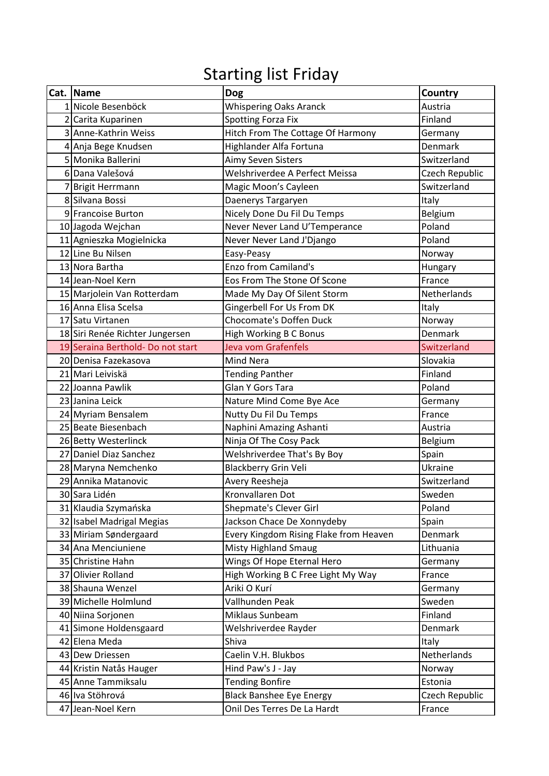## Starting list Friday

|              | Cat. Name                         | <b>Dog</b>                             | Country        |
|--------------|-----------------------------------|----------------------------------------|----------------|
|              | 1 Nicole Besenböck                | <b>Whispering Oaks Aranck</b>          | Austria        |
|              | Carita Kuparinen                  | <b>Spotting Forza Fix</b>              | Finland        |
| $\mathsf{3}$ | Anne-Kathrin Weiss                | Hitch From The Cottage Of Harmony      | Germany        |
|              | 4 Anja Bege Knudsen               | Highlander Alfa Fortuna                | Denmark        |
|              | 5 Monika Ballerini                | Aimy Seven Sisters                     | Switzerland    |
|              | 6 Dana Valešová                   | Welshriverdee A Perfect Meissa         | Czech Republic |
|              | <b>Brigit Herrmann</b>            | Magic Moon's Cayleen                   | Switzerland    |
|              | 8 Silvana Bossi                   | Daenerys Targaryen                     | Italy          |
|              | 9 Francoise Burton                | Nicely Done Du Fil Du Temps            | Belgium        |
|              | 10 Jagoda Wejchan                 | Never Never Land U'Temperance          | Poland         |
|              | 11 Agnieszka Mogielnicka          | Never Never Land J'Django              | Poland         |
|              | 12 Line Bu Nilsen                 | Easy-Peasy                             | Norway         |
|              | 13 Nora Bartha                    | <b>Enzo from Camiland's</b>            | Hungary        |
|              | 14 Jean-Noel Kern                 | Eos From The Stone Of Scone            | France         |
|              | 15 Marjolein Van Rotterdam        | Made My Day Of Silent Storm            | Netherlands    |
|              | 16 Anna Elisa Scelsa              | Gingerbell For Us From DK              | Italy          |
|              | 17 Satu Virtanen                  | <b>Chocomate's Doffen Duck</b>         | Norway         |
|              | 18 Siri Renée Richter Jungersen   | High Working B C Bonus                 | Denmark        |
|              | 19 Seraina Berthold- Do not start | Jeva vom Grafenfels                    | Switzerland    |
|              | 20 Denisa Fazekasova              | <b>Mind Nera</b>                       | Slovakia       |
|              | 21 Mari Leiviskä                  | <b>Tending Panther</b>                 | Finland        |
|              | 22 Joanna Pawlik                  | Glan Y Gors Tara                       | Poland         |
|              | 23 Janina Leick                   | Nature Mind Come Bye Ace               | Germany        |
|              | 24 Myriam Bensalem                | Nutty Du Fil Du Temps                  | France         |
|              | 25 Beate Biesenbach               | Naphini Amazing Ashanti                | Austria        |
|              | 26 Betty Westerlinck              | Ninja Of The Cosy Pack                 | Belgium        |
|              | 27 Daniel Diaz Sanchez            | Welshriverdee That's By Boy            | Spain          |
|              | 28 Maryna Nemchenko               | Blackberry Grin Veli                   | Ukraine        |
|              | 29 Annika Matanovic               | Avery Reesheja                         | Switzerland    |
|              | 30 Sara Lidén                     | Kronvallaren Dot                       | Sweden         |
|              | 31 Klaudia Szymańska              | Shepmate's Clever Girl                 | Poland         |
|              | 32 Isabel Madrigal Megias         | Jackson Chace De Xonnydeby             | Spain          |
|              | 33 Miriam Søndergaard             | Every Kingdom Rising Flake from Heaven | Denmark        |
|              | 34 Ana Menciuniene                | <b>Misty Highland Smaug</b>            | Lithuania      |
|              | 35 Christine Hahn                 | Wings Of Hope Eternal Hero             | Germany        |
|              | 37 Olivier Rolland                | High Working B C Free Light My Way     | France         |
|              | 38 Shauna Wenzel                  | Ariki O Kurí                           | Germany        |
|              | 39 Michelle Holmlund              | Vallhunden Peak                        | Sweden         |
|              | 40 Niina Sorjonen                 | Miklaus Sunbeam                        | Finland        |
|              | 41 Simone Holdensgaard            | Welshriverdee Rayder                   | Denmark        |
|              | 42 Elena Meda                     | Shiva                                  | Italy          |
|              | 43 Dew Driessen                   | Caelin V.H. Blukbos                    | Netherlands    |
|              | 44 Kristin Natås Hauger           | Hind Paw's J - Jay                     | Norway         |
|              | 45 Anne Tammiksalu                | <b>Tending Bonfire</b>                 | Estonia        |
|              | 46 Iva Stöhrová                   | <b>Black Banshee Eye Energy</b>        | Czech Republic |
|              | 47 Jean-Noel Kern                 | Onil Des Terres De La Hardt            | France         |